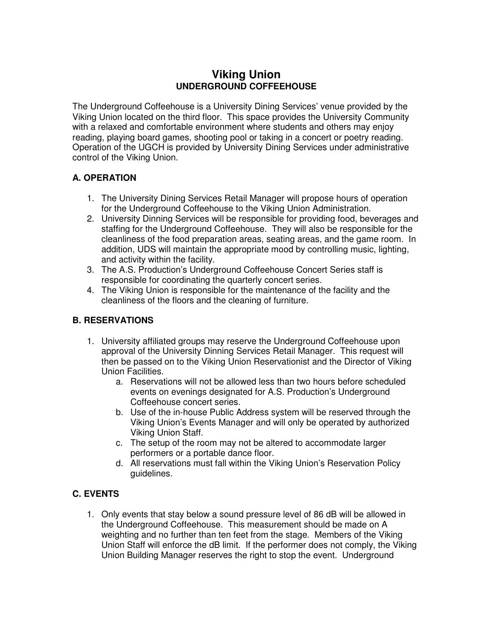# **Viking Union UNDERGROUND COFFEEHOUSE**

The Underground Coffeehouse is a University Dining Services' venue provided by the Viking Union located on the third floor. This space provides the University Community with a relaxed and comfortable environment where students and others may enjoy reading, playing board games, shooting pool or taking in a concert or poetry reading. Operation of the UGCH is provided by University Dining Services under administrative control of the Viking Union.

## **A. OPERATION**

- 1. The University Dining Services Retail Manager will propose hours of operation for the Underground Coffeehouse to the Viking Union Administration.
- 2. University Dinning Services will be responsible for providing food, beverages and staffing for the Underground Coffeehouse. They will also be responsible for the cleanliness of the food preparation areas, seating areas, and the game room. In addition, UDS will maintain the appropriate mood by controlling music, lighting, and activity within the facility.
- 3. The A.S. Production's Underground Coffeehouse Concert Series staff is responsible for coordinating the quarterly concert series.
- 4. The Viking Union is responsible for the maintenance of the facility and the cleanliness of the floors and the cleaning of furniture.

#### **B. RESERVATIONS**

- 1. University affiliated groups may reserve the Underground Coffeehouse upon approval of the University Dinning Services Retail Manager. This request will then be passed on to the Viking Union Reservationist and the Director of Viking Union Facilities.
	- a. Reservations will not be allowed less than two hours before scheduled events on evenings designated for A.S. Production's Underground Coffeehouse concert series.
	- b. Use of the in-house Public Address system will be reserved through the Viking Union's Events Manager and will only be operated by authorized Viking Union Staff.
	- c. The setup of the room may not be altered to accommodate larger performers or a portable dance floor.
	- d. All reservations must fall within the Viking Union's Reservation Policy guidelines.

# **C. EVENTS**

1. Only events that stay below a sound pressure level of 86 dB will be allowed in the Underground Coffeehouse. This measurement should be made on A weighting and no further than ten feet from the stage. Members of the Viking Union Staff will enforce the dB limit. If the performer does not comply, the Viking Union Building Manager reserves the right to stop the event. Underground